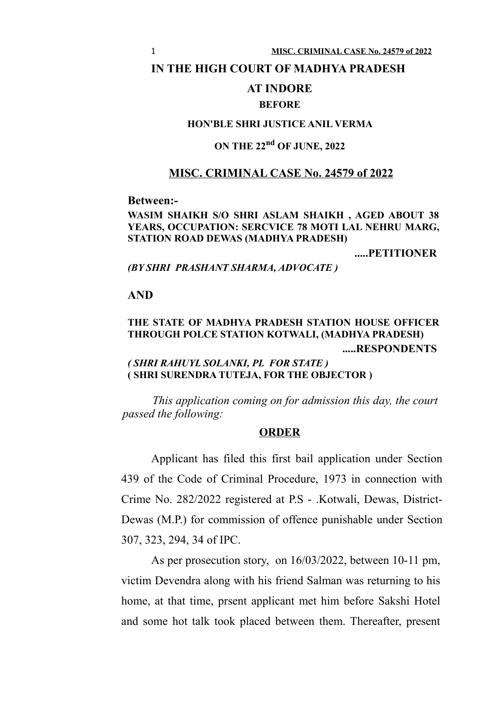#### **IN THE HIGH COURT OF MADHYA PRADESH**

## **AT INDORE**

#### **BEFORE**

### **HON'BLE SHRI JUSTICE ANIL VERMA**

# **ON THE 22nd OF JUNE, 2022**

### **MISC. CRIMINAL CASE No. 24579 of 2022**

#### **Between:-**

#### **WASIM SHAIKH S/O SHRI ASLAM SHAIKH , AGED ABOUT 38 YEARS, OCCUPATION: SERCVICE 78 MOTI LAL NEHRU MARG, STATION ROAD DEWAS (MADHYA PRADESH)**

**.....PETITIONER**

#### *(BY SHRI PRASHANT SHARMA, ADVOCATE )*

#### **AND**

## **THE STATE OF MADHYA PRADESH STATION HOUSE OFFICER THROUGH POLCE STATION KOTWALI, (MADHYA PRADESH) .....RESPONDENTS**

## *( SHRI RAHUYL SOLANKI, PL FOR STATE )* **( SHRI SURENDRA TUTEJA, FOR THE OBJECTOR )**

*This application coming on for admission this day, the court passed the following:*

#### **ORDER**

Applicant has filed this first bail application under Section 439 of the Code of Criminal Procedure, 1973 in connection with Crime No. 282/2022 registered at P.S - .Kotwali, Dewas, District-Dewas (M.P.) for commission of offence punishable under Section 307, 323, 294, 34 of IPC.

As per prosecution story, on 16/03/2022, between 10-11 pm, victim Devendra along with his friend Salman was returning to his home, at that time, prsent applicant met him before Sakshi Hotel and some hot talk took placed between them. Thereafter, present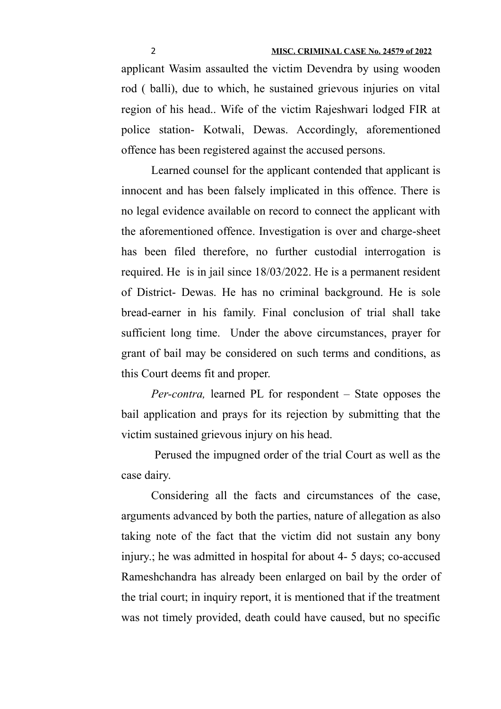applicant Wasim assaulted the victim Devendra by using wooden rod ( balli), due to which, he sustained grievous injuries on vital region of his head.. Wife of the victim Rajeshwari lodged FIR at police station- Kotwali, Dewas. Accordingly, aforementioned offence has been registered against the accused persons.

Learned counsel for the applicant contended that applicant is innocent and has been falsely implicated in this offence. There is no legal evidence available on record to connect the applicant with the aforementioned offence. Investigation is over and charge-sheet has been filed therefore, no further custodial interrogation is required. He is in jail since 18/03/2022. He is a permanent resident of District- Dewas. He has no criminal background. He is sole bread-earner in his family. Final conclusion of trial shall take sufficient long time. Under the above circumstances, prayer for grant of bail may be considered on such terms and conditions, as this Court deems fit and proper.

*Per-contra,* learned PL for respondent – State opposes the bail application and prays for its rejection by submitting that the victim sustained grievous injury on his head.

 Perused the impugned order of the trial Court as well as the case dairy.

Considering all the facts and circumstances of the case, arguments advanced by both the parties, nature of allegation as also taking note of the fact that the victim did not sustain any bony injury.; he was admitted in hospital for about 4- 5 days; co-accused Rameshchandra has already been enlarged on bail by the order of the trial court; in inquiry report, it is mentioned that if the treatment was not timely provided, death could have caused, but no specific